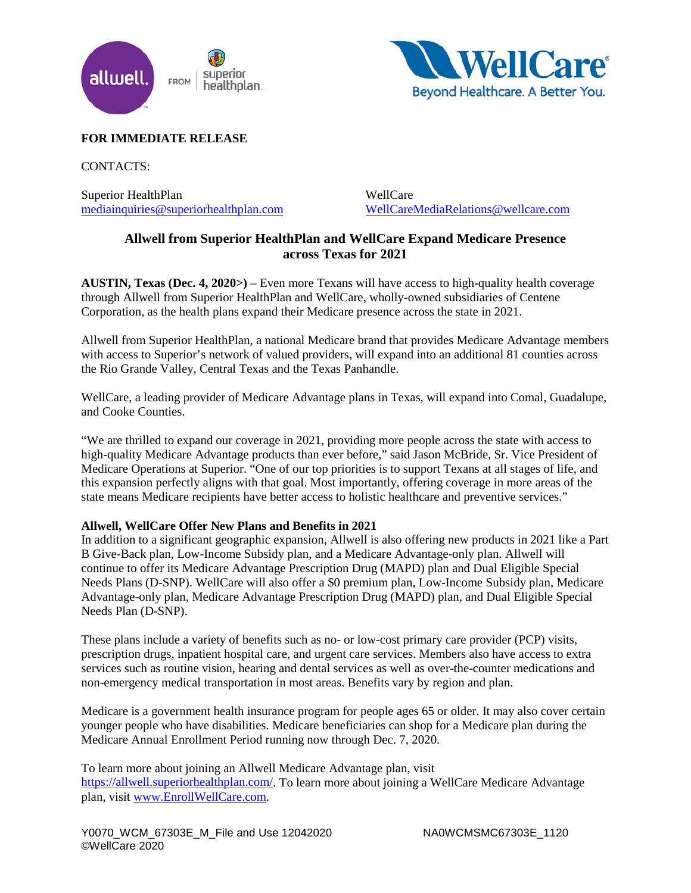



# **FOR IMMEDIATE RELEASE**

CONTACTS:

Superior HealthPlan [mediainquiries@superiorhealthplan.com](mailto:mediainquiries@superiorhealthplan.com)

WellCare [WellCareMediaRelations@wellcare.com](mailto:WellCareMediaRelations@wellcare.com)

# **Allwell from Superior HealthPlan and WellCare Expand Medicare Presence across Texas for 2021**

**AUSTIN, Texas (Dec. 4, 2020>)** – Even more Texans will have access to high-quality health coverage through Allwell from Superior HealthPlan and WellCare, wholly-owned subsidiaries of Centene Corporation, as the health plans expand their Medicare presence across the state in 2021.

Allwell from Superior HealthPlan, a national Medicare brand that provides Medicare Advantage members with access to Superior's network of valued providers, will expand into an additional 81 counties across the Rio Grande Valley, Central Texas and the Texas Panhandle.

WellCare, a leading provider of Medicare Advantage plans in Texas, will expand into Comal, Guadalupe, and Cooke Counties.

"We are thrilled to expand our coverage in 2021, providing more people across the state with access to high-quality Medicare Advantage products than ever before," said Jason McBride, Sr. Vice President of Medicare Operations at Superior. "One of our top priorities is to support Texans at all stages of life, and this expansion perfectly aligns with that goal. Most importantly, offering coverage in more areas of the state means Medicare recipients have better access to holistic healthcare and preventive services."

## **Allwell, WellCare Offer New Plans and Benefits in 2021**

In addition to a significant geographic expansion, Allwell is also offering new products in 2021 like a Part B Give-Back plan, Low-Income Subsidy plan, and a Medicare Advantage-only plan. Allwell will continue to offer its Medicare Advantage Prescription Drug (MAPD) plan and Dual Eligible Special Needs Plans (D-SNP). WellCare will also offer a \$0 premium plan, Low-Income Subsidy plan, Medicare Advantage-only plan, Medicare Advantage Prescription Drug (MAPD) plan, and Dual Eligible Special Needs Plan (D-SNP).

These plans include a variety of benefits such as no- or low-cost primary care provider (PCP) visits, prescription drugs, inpatient hospital care, and urgent care services. Members also have access to extra services such as routine vision, hearing and dental services as well as over-the-counter medications and non-emergency medical transportation in most areas. Benefits vary by region and plan.

Medicare is a government health insurance program for people ages 65 or older. It may also cover certain younger people who have disabilities. Medicare beneficiaries can shop for a Medicare plan during the Medicare Annual Enrollment Period running now through Dec. 7, 2020.

To learn more about joining an Allwell Medicare Advantage plan, visit [https://allwell.superiorhealthplan.com/.](https://allwell.superiorhealthplan.com/) To learn more about joining a WellCare Medicare Advantage plan, visit [www.EnrollWellCare.com.](http://www.enrollwellcare.com/)